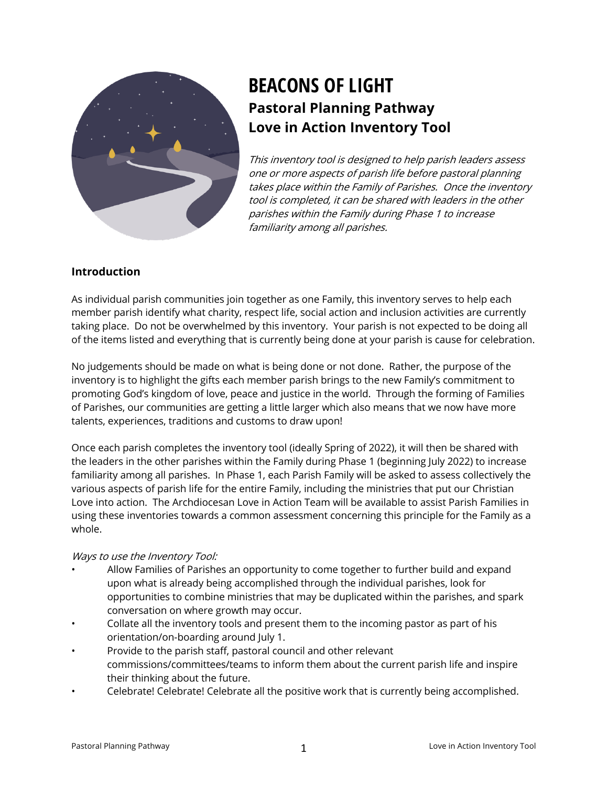

# **BEACONS OF LIGHT Pastoral Planning Pathway Love in Action Inventory Tool**

This inventory tool is designed to help parish leaders assess one or more aspects of parish life before pastoral planning takes place within the Family of Parishes. Once the inventory tool is completed, it can be shared with leaders in the other parishes within the Family during Phase 1 to increase familiarity among all parishes.

# **Introduction**

As individual parish communities join together as one Family, this inventory serves to help each member parish identify what charity, respect life, social action and inclusion activities are currently taking place. Do not be overwhelmed by this inventory. Your parish is not expected to be doing all of the items listed and everything that is currently being done at your parish is cause for celebration.

No judgements should be made on what is being done or not done. Rather, the purpose of the inventory is to highlight the gifts each member parish brings to the new Family's commitment to promoting God's kingdom of love, peace and justice in the world. Through the forming of Families of Parishes, our communities are getting a little larger which also means that we now have more talents, experiences, traditions and customs to draw upon!

Once each parish completes the inventory tool (ideally Spring of 2022), it will then be shared with the leaders in the other parishes within the Family during Phase 1 (beginning July 2022) to increase familiarity among all parishes. In Phase 1, each Parish Family will be asked to assess collectively the various aspects of parish life for the entire Family, including the ministries that put our Christian Love into action. The Archdiocesan Love in Action Team will be available to assist Parish Families in using these inventories towards a common assessment concerning this principle for the Family as a whole.

### Ways to use the Inventory Tool:

- Allow Families of Parishes an opportunity to come together to further build and expand upon what is already being accomplished through the individual parishes, look for opportunities to combine ministries that may be duplicated within the parishes, and spark conversation on where growth may occur.
- Collate all the inventory tools and present them to the incoming pastor as part of his orientation/on-boarding around July 1.
- Provide to the parish staff, pastoral council and other relevant commissions/committees/teams to inform them about the current parish life and inspire their thinking about the future.
- Celebrate! Celebrate! Celebrate all the positive work that is currently being accomplished.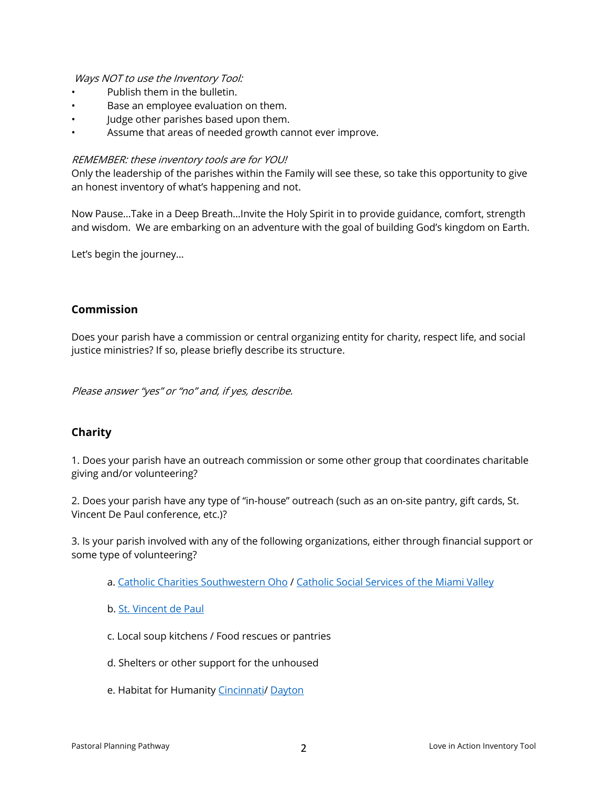Ways NOT to use the Inventory Tool:

- Publish them in the bulletin.
- Base an employee evaluation on them.
- Judge other parishes based upon them.
- Assume that areas of needed growth cannot ever improve.

### REMEMBER: these inventory tools are for YOU!

Only the leadership of the parishes within the Family will see these, so take this opportunity to give an honest inventory of what's happening and not.

Now Pause…Take in a Deep Breath…Invite the Holy Spirit in to provide guidance, comfort, strength and wisdom. We are embarking on an adventure with the goal of building God's kingdom on Earth.

Let's begin the journey…

## **Commission**

Does your parish have a commission or central organizing entity for charity, respect life, and social justice ministries? If so, please briefly describe its structure.

Please answer "yes" or "no" and, if yes, describe.

## **Charity**

1. Does your parish have an outreach commission or some other group that coordinates charitable giving and/or volunteering?

2. Does your parish have any type of "in-house" outreach (such as an on-site pantry, gift cards, St. Vincent De Paul conference, etc.)?

3. Is your parish involved with any of the following organizations, either through financial support or some type of volunteering?

- a. Catholic Charities Southwestern Oho / Catholic Social Services of the Miami Valley
- b. St. Vincent de Paul
- c. Local soup kitchens / Food rescues or pantries
- d. Shelters or other support for the unhoused
- e. Habitat for Humanity Cincinnati/ Dayton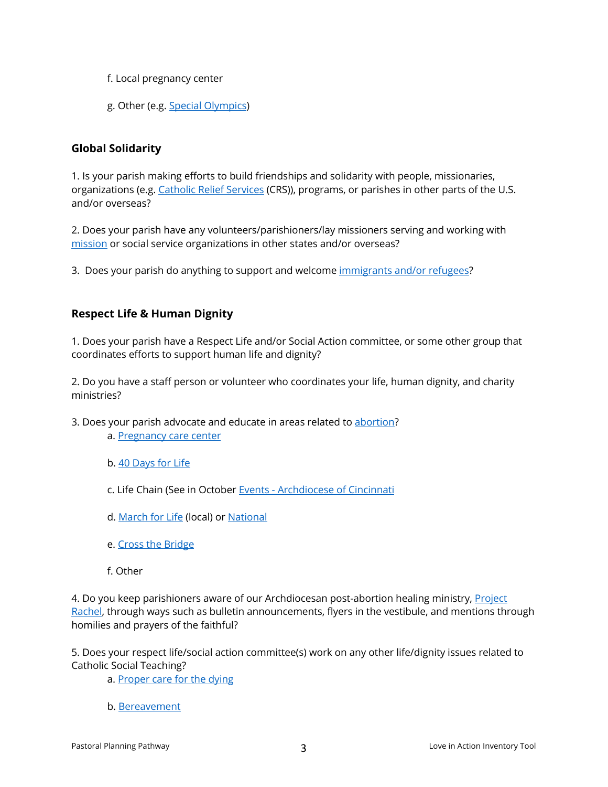- f. Local pregnancy center
- g. Other (e.g. Special Olympics)

## **Global Solidarity**

1. Is your parish making efforts to build friendships and solidarity with people, missionaries, organizations (e.g. Catholic Relief Services (CRS)), programs, or parishes in other parts of the U.S. and/or overseas?

2. Does your parish have any volunteers/parishioners/lay missioners serving and working with mission or social service organizations in other states and/or overseas?

3. Does your parish do anything to support and welcome immigrants and/or refugees?

# **Respect Life & Human Dignity**

1. Does your parish have a Respect Life and/or Social Action committee, or some other group that coordinates efforts to support human life and dignity?

2. Do you have a staff person or volunteer who coordinates your life, human dignity, and charity ministries?

- 3. Does your parish advocate and educate in areas related to abortion? a. Pregnancy care center
	- b. 40 Days for Life
	- c. Life Chain (See in October Events Archdiocese of Cincinnati
	- d. March for Life (local) or National
	- e. Cross the Bridge
	- f. Other

4. Do you keep parishioners aware of our Archdiocesan post-abortion healing ministry, Project Rachel, through ways such as bulletin announcements, flyers in the vestibule, and mentions through homilies and prayers of the faithful?

5. Does your respect life/social action committee(s) work on any other life/dignity issues related to Catholic Social Teaching?

a. Proper care for the dying

b. Bereavement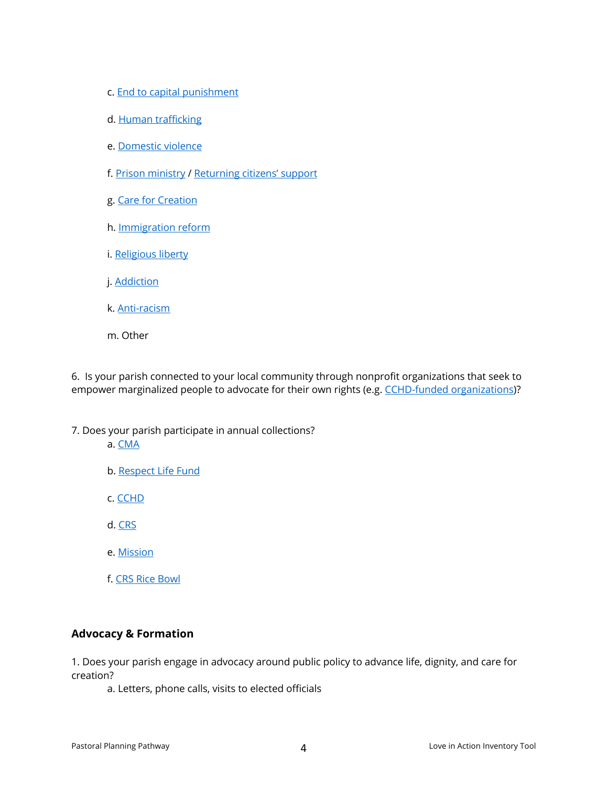- c. End to capital punishment
- d. Human trafficking
- e. Domestic violence
- f. Prison ministry / Returning citizens' support
- g. Care for Creation
- h. Immigration reform
- i. Religious liberty
- j. Addiction
- k. Anti-racism
- m. Other

6. Is your parish connected to your local community through nonprofit organizations that seek to empower marginalized people to advocate for their own rights (e.g. CCHD-funded organizations)?

- 7. Does your parish participate in annual collections?
	- a. CMA
	- b. Respect Life Fund
	- c. CCHD
	- d. CRS
	- e. Mission
	- f. CRS Rice Bowl

## **Advocacy & Formation**

1. Does your parish engage in advocacy around public policy to advance life, dignity, and care for creation?

a. Letters, phone calls, visits to elected officials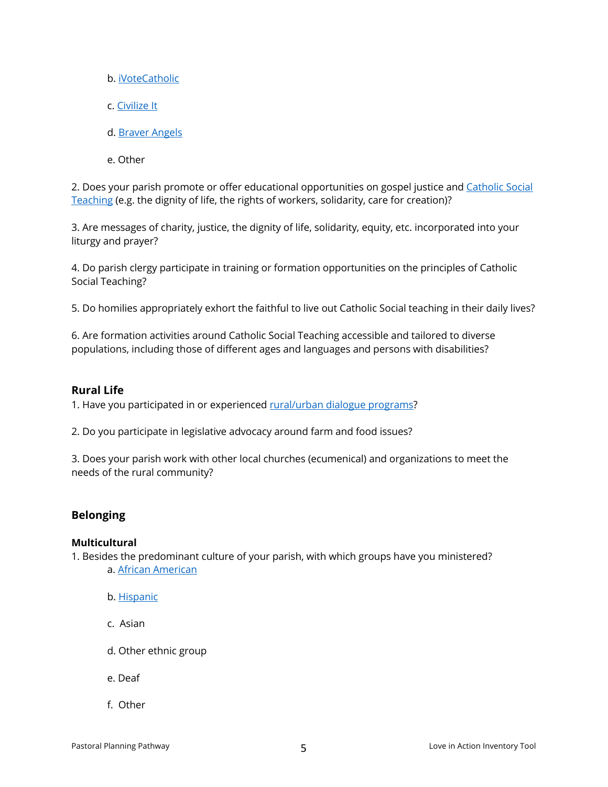- b. iVoteCatholic
- c. Civilize It
- d. Braver Angels
- e. Other

2. Does your parish promote or offer educational opportunities on gospel justice and Catholic Social Teaching (e.g. the dignity of life, the rights of workers, solidarity, care for creation)?

3. Are messages of charity, justice, the dignity of life, solidarity, equity, etc. incorporated into your liturgy and prayer?

4. Do parish clergy participate in training or formation opportunities on the principles of Catholic Social Teaching?

5. Do homilies appropriately exhort the faithful to live out Catholic Social teaching in their daily lives?

6. Are formation activities around Catholic Social Teaching accessible and tailored to diverse populations, including those of different ages and languages and persons with disabilities?

## **Rural Life**

1. Have you participated in or experienced rural/urban dialogue programs?

2. Do you participate in legislative advocacy around farm and food issues?

3. Does your parish work with other local churches (ecumenical) and organizations to meet the needs of the rural community?

# **Belonging**

### **Multicultural**

1. Besides the predominant culture of your parish, with which groups have you ministered? a. African American

- b. Hispanic
- c. Asian
- d. Other ethnic group
- e. Deaf
- f. Other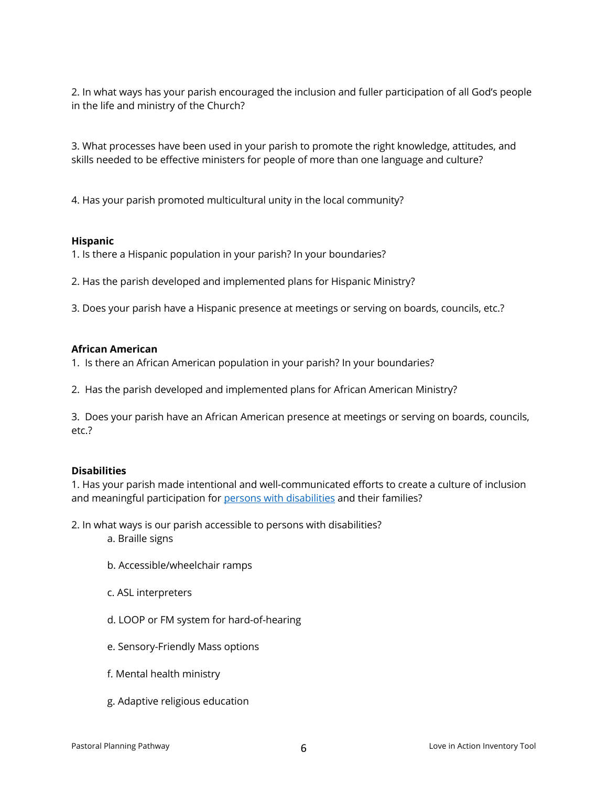2. In what ways has your parish encouraged the inclusion and fuller participation of all God's people in the life and ministry of the Church?

3. What processes have been used in your parish to promote the right knowledge, attitudes, and skills needed to be effective ministers for people of more than one language and culture?

4. Has your parish promoted multicultural unity in the local community?

## **Hispanic**

1. Is there a Hispanic population in your parish? In your boundaries?

2. Has the parish developed and implemented plans for Hispanic Ministry?

3. Does your parish have a Hispanic presence at meetings or serving on boards, councils, etc.?

### **African American**

1. Is there an African American population in your parish? In your boundaries?

2. Has the parish developed and implemented plans for African American Ministry?

3. Does your parish have an African American presence at meetings or serving on boards, councils, etc.?

### **Disabilities**

1. Has your parish made intentional and well-communicated efforts to create a culture of inclusion and meaningful participation for persons with disabilities and their families?

2. In what ways is our parish accessible to persons with disabilities?

- a. Braille signs
- b. Accessible/wheelchair ramps
- c. ASL interpreters
- d. LOOP or FM system for hard-of-hearing
- e. Sensory-Friendly Mass options
- f. Mental health ministry
- g. Adaptive religious education